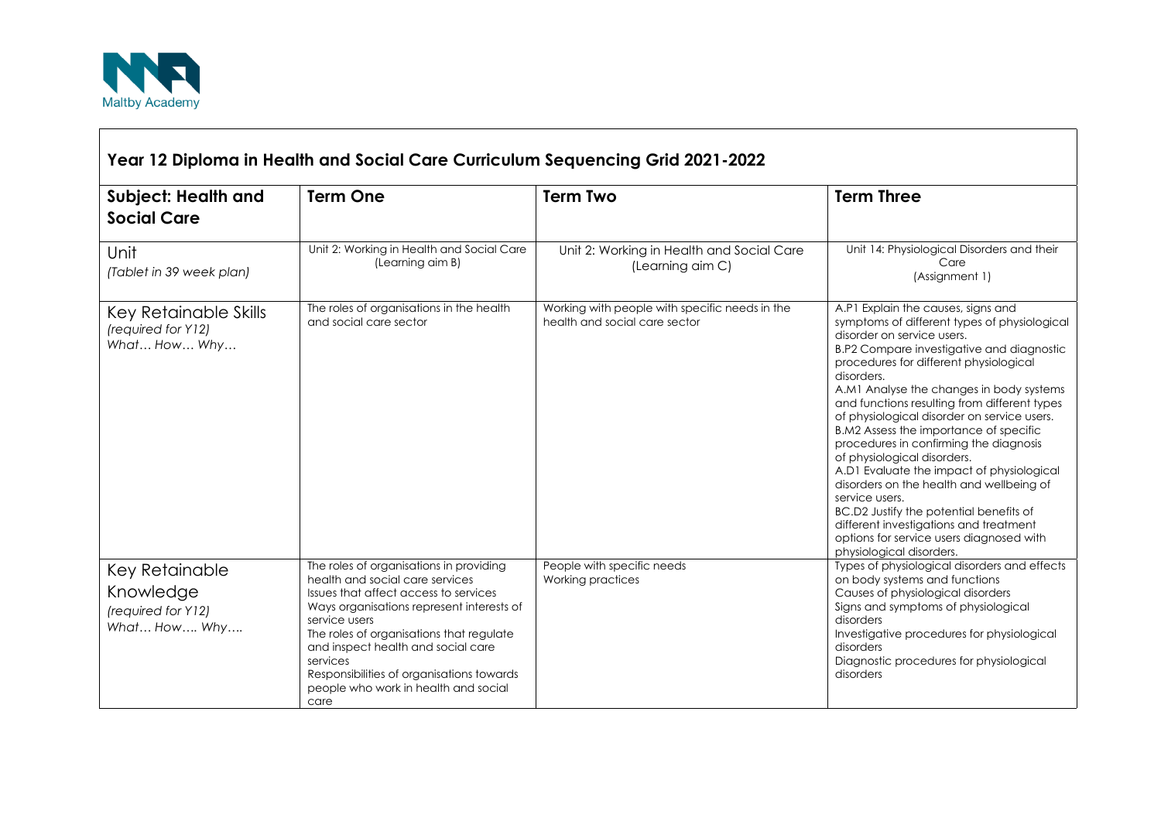

 $\Gamma$ 

| Year 12 Diploma in Health and Social Care Curriculum Sequencing Grid 2021-2022 |                                                                                                                                                                                                                                                                                                                                                                              |                                                                                 |                                                                                                                                                                                                                                                                                                                                                                                                                                                                                                                                                                                                                                                                                                                                                             |  |  |
|--------------------------------------------------------------------------------|------------------------------------------------------------------------------------------------------------------------------------------------------------------------------------------------------------------------------------------------------------------------------------------------------------------------------------------------------------------------------|---------------------------------------------------------------------------------|-------------------------------------------------------------------------------------------------------------------------------------------------------------------------------------------------------------------------------------------------------------------------------------------------------------------------------------------------------------------------------------------------------------------------------------------------------------------------------------------------------------------------------------------------------------------------------------------------------------------------------------------------------------------------------------------------------------------------------------------------------------|--|--|
| <b>Subject: Health and</b><br><b>Social Care</b>                               | <b>Term One</b>                                                                                                                                                                                                                                                                                                                                                              | <b>Term Two</b>                                                                 | <b>Term Three</b>                                                                                                                                                                                                                                                                                                                                                                                                                                                                                                                                                                                                                                                                                                                                           |  |  |
| Unit<br>(Tablet in 39 week plan)                                               | Unit 2: Working in Health and Social Care<br>(Learning aim B)                                                                                                                                                                                                                                                                                                                | Unit 2: Working in Health and Social Care<br>(Learning aim C)                   | Unit 14: Physiological Disorders and their<br>Care<br>(Assignment 1)                                                                                                                                                                                                                                                                                                                                                                                                                                                                                                                                                                                                                                                                                        |  |  |
| Key Retainable Skills<br>(required for Y12)<br>What How Why                    | The roles of organisations in the health<br>and social care sector                                                                                                                                                                                                                                                                                                           | Working with people with specific needs in the<br>health and social care sector | A.P1 Explain the causes, signs and<br>symptoms of different types of physiological<br>disorder on service users.<br>B.P2 Compare investigative and diagnostic<br>procedures for different physiological<br>disorders.<br>A.M1 Analyse the changes in body systems<br>and functions resulting from different types<br>of physiological disorder on service users.<br>B.M2 Assess the importance of specific<br>procedures in confirming the diagnosis<br>of physiological disorders.<br>A.D1 Evaluate the impact of physiological<br>disorders on the health and wellbeing of<br>service users.<br>BC.D2 Justify the potential benefits of<br>different investigations and treatment<br>options for service users diagnosed with<br>physiological disorders. |  |  |
| Key Retainable<br>Knowledge<br>(required for Y12)<br>What How Why              | The roles of organisations in providing<br>health and social care services<br>Issues that affect access to services<br>Ways organisations represent interests of<br>service users<br>The roles of organisations that regulate<br>and inspect health and social care<br>services<br>Responsibilities of organisations towards<br>people who work in health and social<br>care | People with specific needs<br>Working practices                                 | Types of physiological disorders and effects<br>on body systems and functions<br>Causes of physiological disorders<br>Signs and symptoms of physiological<br>disorders<br>Investigative procedures for physiological<br>disorders<br>Diagnostic procedures for physiological<br>disorders                                                                                                                                                                                                                                                                                                                                                                                                                                                                   |  |  |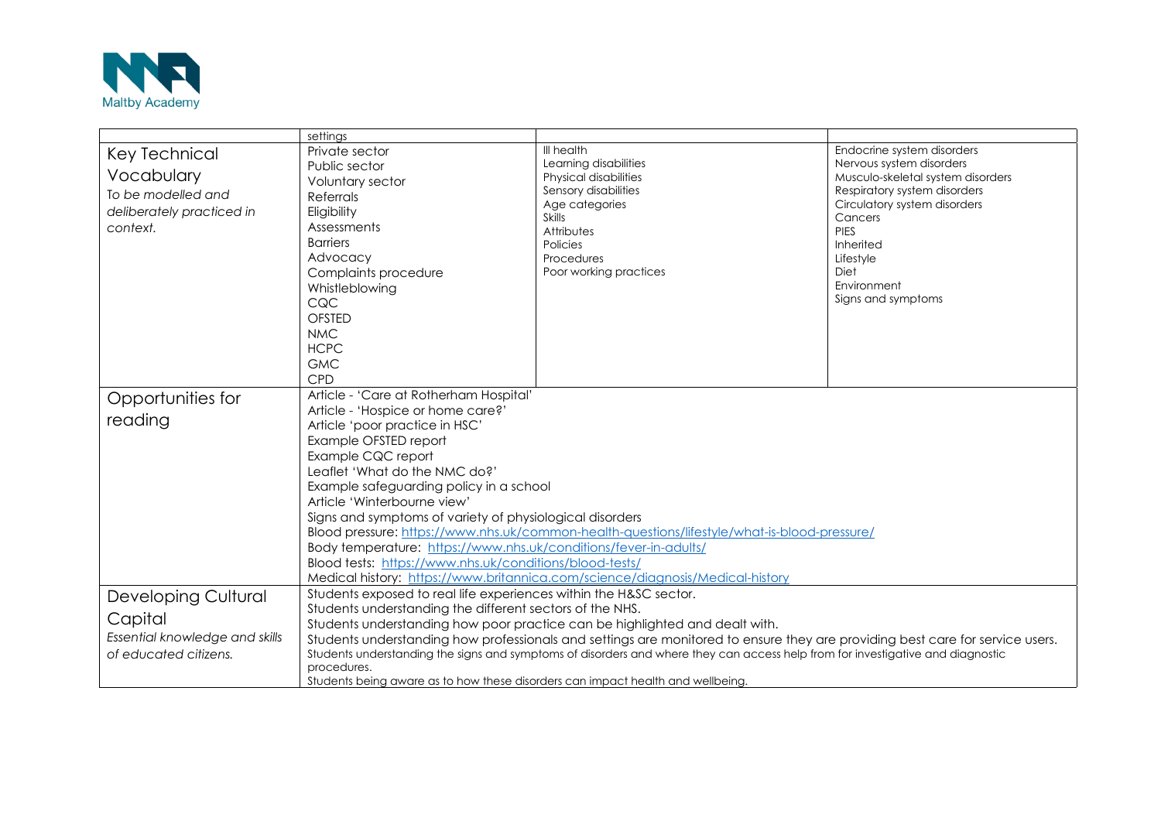

|                                                                                                 | settings                                                                                                                                                                                                                                                                                  |                                 |                                         |  |  |
|-------------------------------------------------------------------------------------------------|-------------------------------------------------------------------------------------------------------------------------------------------------------------------------------------------------------------------------------------------------------------------------------------------|---------------------------------|-----------------------------------------|--|--|
| Key Technical                                                                                   | Private sector                                                                                                                                                                                                                                                                            | III health                      | Endocrine system disorders              |  |  |
|                                                                                                 | Public sector                                                                                                                                                                                                                                                                             | Learning disabilities           | Nervous system disorders                |  |  |
| Vocabulary                                                                                      | Voluntary sector                                                                                                                                                                                                                                                                          | Physical disabilities           | Musculo-skeletal system disorders       |  |  |
| To be modelled and                                                                              | Referrals                                                                                                                                                                                                                                                                                 | Sensory disabilities            | Respiratory system disorders            |  |  |
| deliberately practiced in                                                                       | Eligibility                                                                                                                                                                                                                                                                               | Age categories<br><b>Skills</b> | Circulatory system disorders<br>Cancers |  |  |
| context.                                                                                        | Assessments                                                                                                                                                                                                                                                                               | Attributes                      | PIES                                    |  |  |
|                                                                                                 | <b>Barriers</b>                                                                                                                                                                                                                                                                           | Policies                        | Inherited                               |  |  |
|                                                                                                 | Advocacy                                                                                                                                                                                                                                                                                  | Procedures                      | Lifestyle                               |  |  |
|                                                                                                 | Complaints procedure                                                                                                                                                                                                                                                                      | Poor working practices          | Diet                                    |  |  |
|                                                                                                 | Whistleblowing                                                                                                                                                                                                                                                                            |                                 | Environment                             |  |  |
|                                                                                                 | CQC                                                                                                                                                                                                                                                                                       |                                 | Signs and symptoms                      |  |  |
|                                                                                                 | <b>OFSTED</b>                                                                                                                                                                                                                                                                             |                                 |                                         |  |  |
|                                                                                                 | <b>NMC</b>                                                                                                                                                                                                                                                                                |                                 |                                         |  |  |
|                                                                                                 | <b>HCPC</b>                                                                                                                                                                                                                                                                               |                                 |                                         |  |  |
|                                                                                                 | <b>GMC</b>                                                                                                                                                                                                                                                                                |                                 |                                         |  |  |
|                                                                                                 | CPD                                                                                                                                                                                                                                                                                       |                                 |                                         |  |  |
| Opportunities for                                                                               | Article - 'Care at Rotherham Hospital'                                                                                                                                                                                                                                                    |                                 |                                         |  |  |
|                                                                                                 | Article - 'Hospice or home care?'                                                                                                                                                                                                                                                         |                                 |                                         |  |  |
| reading                                                                                         | Article 'poor practice in HSC'                                                                                                                                                                                                                                                            |                                 |                                         |  |  |
|                                                                                                 | Example OFSTED report                                                                                                                                                                                                                                                                     |                                 |                                         |  |  |
|                                                                                                 | Example CQC report<br>Leaflet 'What do the NMC do?'<br>Example safeguarding policy in a school<br>Article 'Winterbourne view'<br>Signs and symptoms of variety of physiological disorders<br>Blood pressure: https://www.nhs.uk/common-health-questions/lifestyle/what-is-blood-pressure/ |                                 |                                         |  |  |
|                                                                                                 |                                                                                                                                                                                                                                                                                           |                                 |                                         |  |  |
|                                                                                                 |                                                                                                                                                                                                                                                                                           |                                 |                                         |  |  |
|                                                                                                 |                                                                                                                                                                                                                                                                                           |                                 |                                         |  |  |
|                                                                                                 |                                                                                                                                                                                                                                                                                           |                                 |                                         |  |  |
|                                                                                                 |                                                                                                                                                                                                                                                                                           |                                 |                                         |  |  |
|                                                                                                 | Body temperature: https://www.nhs.uk/conditions/fever-in-adults/                                                                                                                                                                                                                          |                                 |                                         |  |  |
|                                                                                                 | Blood tests: https://www.nhs.uk/conditions/blood-tests/<br>Medical history: https://www.britannica.com/science/diagnosis/Medical-history                                                                                                                                                  |                                 |                                         |  |  |
|                                                                                                 |                                                                                                                                                                                                                                                                                           |                                 |                                         |  |  |
| Students exposed to real life experiences within the H&SC sector.<br><b>Developing Cultural</b> |                                                                                                                                                                                                                                                                                           |                                 |                                         |  |  |
|                                                                                                 | Students understanding the different sectors of the NHS.                                                                                                                                                                                                                                  |                                 |                                         |  |  |
| Capital                                                                                         | Students understanding how poor practice can be highlighted and dealt with.                                                                                                                                                                                                               |                                 |                                         |  |  |
| Essential knowledge and skills                                                                  | Students understanding how professionals and settings are monitored to ensure they are providing best care for service users.                                                                                                                                                             |                                 |                                         |  |  |
| of educated citizens.                                                                           | Students understanding the signs and symptoms of disorders and where they can access help from for investigative and diagnostic                                                                                                                                                           |                                 |                                         |  |  |
|                                                                                                 | procedures.                                                                                                                                                                                                                                                                               |                                 |                                         |  |  |
|                                                                                                 | Students being aware as to how these disorders can impact health and wellbeing.                                                                                                                                                                                                           |                                 |                                         |  |  |